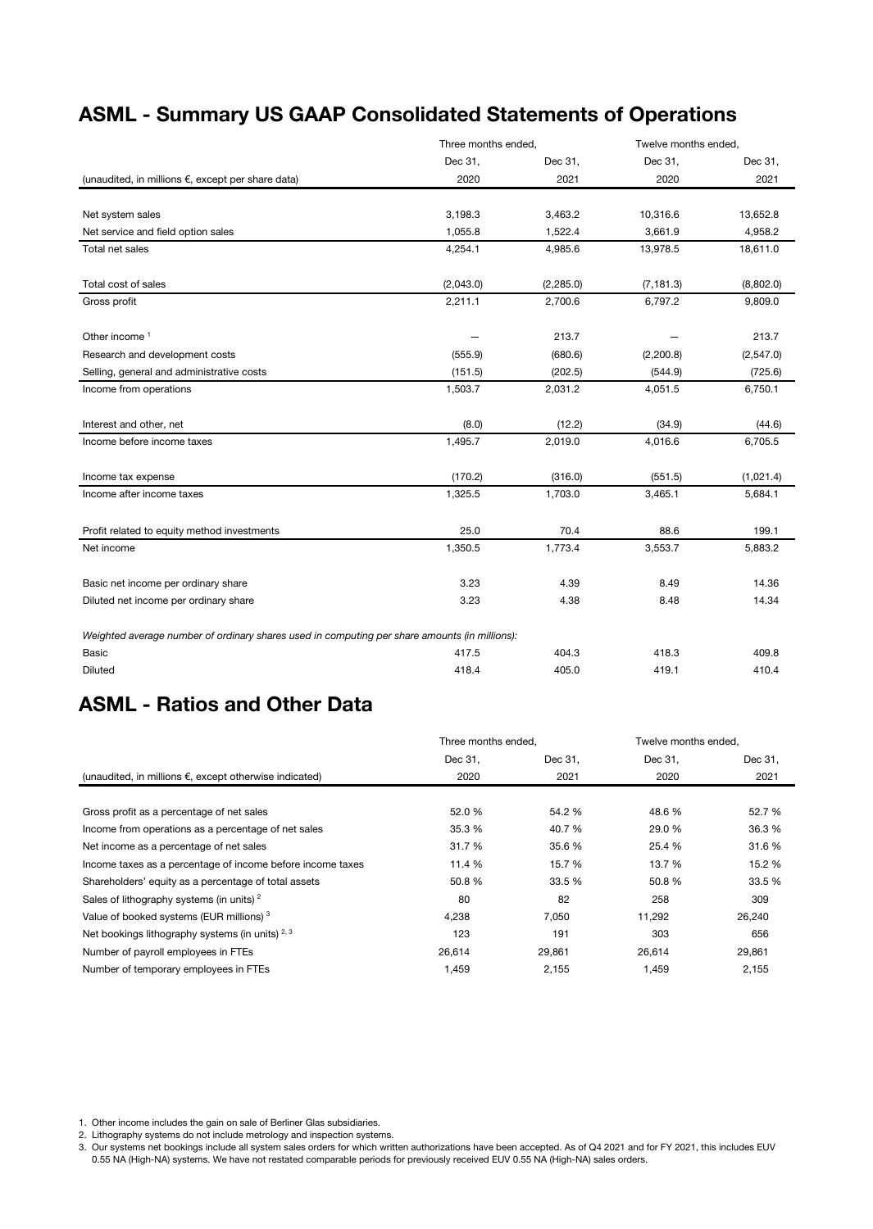### ASML - Summary US GAAP Consolidated Statements of Operations

|                                                                                               | Three months ended, |            | Twelve months ended, |           |  |
|-----------------------------------------------------------------------------------------------|---------------------|------------|----------------------|-----------|--|
|                                                                                               | Dec 31.             | Dec 31,    | Dec 31.              | Dec 31,   |  |
| (unaudited, in millions $\epsilon$ , except per share data)                                   | 2020                | 2021       | 2020                 | 2021      |  |
|                                                                                               |                     |            |                      |           |  |
| Net system sales                                                                              | 3,198.3             | 3,463.2    | 10,316.6             | 13,652.8  |  |
| Net service and field option sales                                                            | 1,055.8             | 1,522.4    | 3,661.9              | 4,958.2   |  |
| Total net sales                                                                               | 4,254.1             | 4,985.6    | 13,978.5             | 18,611.0  |  |
| Total cost of sales                                                                           | (2,043.0)           | (2, 285.0) | (7, 181.3)           | (8,802.0) |  |
| Gross profit                                                                                  | 2,211.1             | 2,700.6    | 6,797.2              | 9,809.0   |  |
| Other income <sup>1</sup>                                                                     |                     | 213.7      |                      | 213.7     |  |
| Research and development costs                                                                | (555.9)             | (680.6)    | (2,200.8)            | (2,547.0) |  |
| Selling, general and administrative costs                                                     | (151.5)             | (202.5)    | (544.9)              | (725.6)   |  |
| Income from operations                                                                        | 1,503.7             | 2,031.2    | 4,051.5              | 6,750.1   |  |
| Interest and other, net                                                                       | (8.0)               | (12.2)     | (34.9)               | (44.6)    |  |
| Income before income taxes                                                                    | 1,495.7             | 2,019.0    | 4,016.6              | 6,705.5   |  |
| Income tax expense                                                                            | (170.2)             | (316.0)    | (551.5)              | (1,021.4) |  |
| Income after income taxes                                                                     | 1,325.5             | 1,703.0    | 3,465.1              | 5,684.1   |  |
| Profit related to equity method investments                                                   | 25.0                | 70.4       | 88.6                 | 199.1     |  |
| Net income                                                                                    | 1,350.5             | 1,773.4    | 3,553.7              | 5,883.2   |  |
| Basic net income per ordinary share                                                           | 3.23                | 4.39       | 8.49                 | 14.36     |  |
| Diluted net income per ordinary share                                                         | 3.23                | 4.38       | 8.48                 | 14.34     |  |
| Weighted average number of ordinary shares used in computing per share amounts (in millions): |                     |            |                      |           |  |
| <b>Basic</b>                                                                                  | 417.5               | 404.3      | 418.3                | 409.8     |  |
| <b>Diluted</b>                                                                                | 418.4               | 405.0      | 419.1                | 410.4     |  |

#### ASML - Ratios and Other Data

|                                                                  | Three months ended. |         | Twelve months ended. |         |
|------------------------------------------------------------------|---------------------|---------|----------------------|---------|
|                                                                  | Dec 31,             | Dec 31, | Dec 31,              | Dec 31, |
| (unaudited, in millions $\epsilon$ , except otherwise indicated) | 2020                | 2021    | 2020                 | 2021    |
|                                                                  |                     |         |                      |         |
| Gross profit as a percentage of net sales                        | 52.0 %              | 54.2 %  | 48.6 %               | 52.7 %  |
| Income from operations as a percentage of net sales              | 35.3 %              | 40.7 %  | 29.0 %               | 36.3 %  |
| Net income as a percentage of net sales                          | 31.7 %              | 35.6 %  | 25.4 %               | 31.6 %  |
| Income taxes as a percentage of income before income taxes       | 11.4 %              | 15.7 %  | 13.7 %               | 15.2 %  |
| Shareholders' equity as a percentage of total assets             | 50.8%               | 33.5 %  | 50.8%                | 33.5 %  |
| Sales of lithography systems (in units) <sup>2</sup>             | 80                  | 82      | 258                  | 309     |
| Value of booked systems (EUR millions) <sup>3</sup>              | 4.238               | 7,050   | 11,292               | 26,240  |
| Net bookings lithography systems (in units) $2,3$                | 123                 | 191     | 303                  | 656     |
| Number of payroll employees in FTEs                              | 26,614              | 29,861  | 26,614               | 29,861  |
| Number of temporary employees in FTEs                            | 1,459               | 2,155   | 1,459                | 2,155   |

1. Other income includes the gain on sale of Berliner Glas subsidiaries.

2. Lithography systems do not include metrology and inspection systems.

3. Our systems net bookings include all system sales orders for which written authorizations have been accepted. As of Q4 2021 and for FY 2021, this includes EUV 0.55 NA (High-NA) systems. We have not restated comparable periods for previously received EUV 0.55 NA (High-NA) sales orders.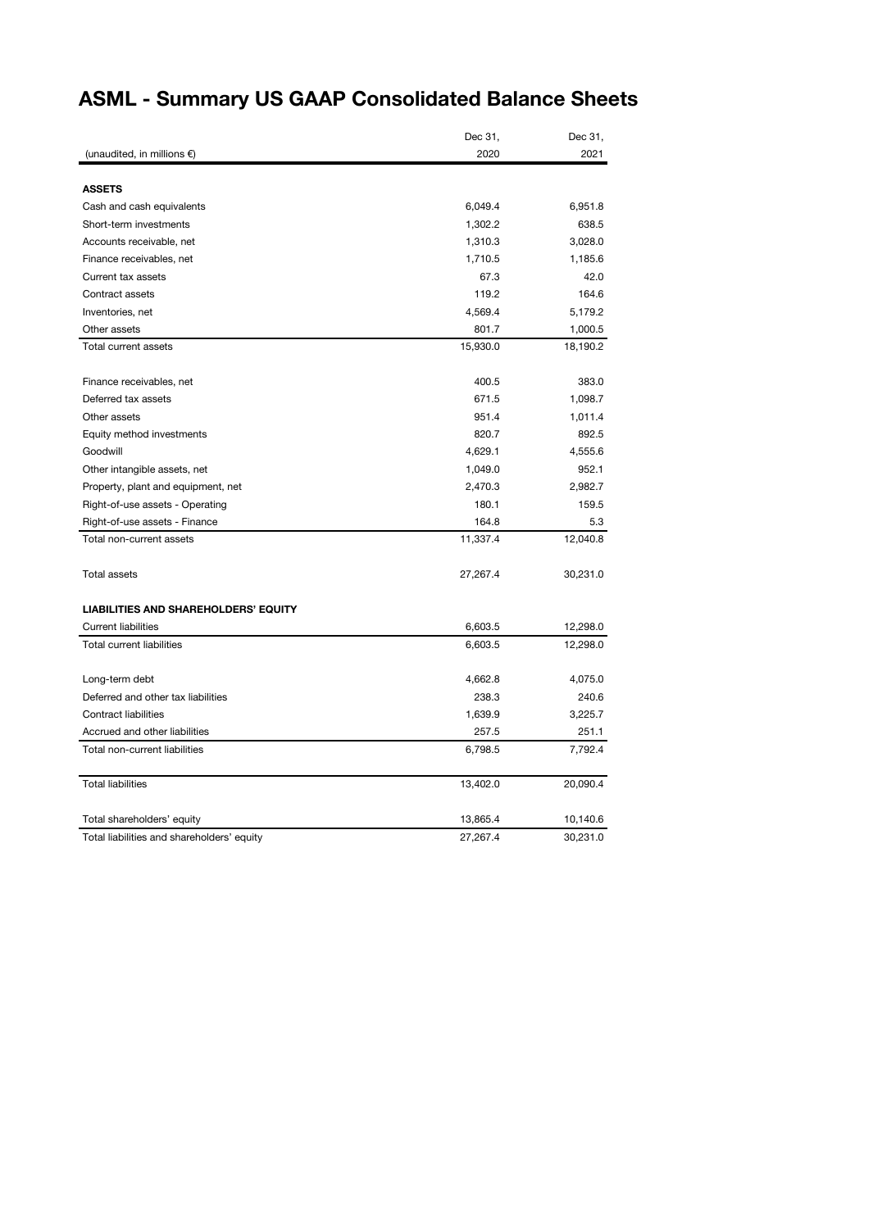## ASML - Summary US GAAP Consolidated Balance Sheets

| 2020<br>2021<br>(unaudited, in millions $\epsilon$ )<br><b>ASSETS</b><br>6,049.4<br>Cash and cash equivalents<br>6,951.8<br>Short-term investments<br>1,302.2<br>638.5<br>Accounts receivable, net<br>1,310.3<br>3,028.0<br>Finance receivables, net<br>1,710.5<br>1,185.6<br>42.0<br>Current tax assets<br>67.3<br>Contract assets<br>119.2<br>164.6<br>4,569.4<br>5,179.2<br>Inventories, net<br>Other assets<br>801.7<br>1,000.5<br>15,930.0<br>Total current assets<br>18,190.2<br>Finance receivables, net<br>400.5<br>383.0<br>671.5<br>Deferred tax assets<br>1,098.7<br>951.4<br>Other assets<br>1,011.4<br>820.7<br>892.5<br>Equity method investments<br>Goodwill<br>4,629.1<br>4,555.6<br>1,049.0<br>952.1<br>Other intangible assets, net<br>2,470.3<br>2,982.7<br>Property, plant and equipment, net<br>Right-of-use assets - Operating<br>180.1<br>159.5<br>Right-of-use assets - Finance<br>164.8<br>5.3<br>11,337.4<br>12,040.8<br>Total non-current assets<br>Total assets<br>27,267.4<br>30,231.0<br><b>LIABILITIES AND SHAREHOLDERS' EQUITY</b><br><b>Current liabilities</b><br>6,603.5<br>12,298.0<br><b>Total current liabilities</b><br>6,603.5<br>12,298.0<br>4,662.8<br>Long-term debt<br>4,075.0<br>Deferred and other tax liabilities<br>238.3<br>240.6<br><b>Contract liabilities</b><br>1,639.9<br>3,225.7<br>Accrued and other liabilities<br>257.5<br>251.1<br>Total non-current liabilities<br>6,798.5<br>7,792.4<br><b>Total liabilities</b><br>20,090.4<br>13,402.0<br>Total shareholders' equity<br>13,865.4<br>10,140.6<br>30,231.0<br>Total liabilities and shareholders' equity<br>27,267.4 | Dec 31, | Dec 31, |
|-----------------------------------------------------------------------------------------------------------------------------------------------------------------------------------------------------------------------------------------------------------------------------------------------------------------------------------------------------------------------------------------------------------------------------------------------------------------------------------------------------------------------------------------------------------------------------------------------------------------------------------------------------------------------------------------------------------------------------------------------------------------------------------------------------------------------------------------------------------------------------------------------------------------------------------------------------------------------------------------------------------------------------------------------------------------------------------------------------------------------------------------------------------------------------------------------------------------------------------------------------------------------------------------------------------------------------------------------------------------------------------------------------------------------------------------------------------------------------------------------------------------------------------------------------------------------------------------------------------------------------------|---------|---------|
|                                                                                                                                                                                                                                                                                                                                                                                                                                                                                                                                                                                                                                                                                                                                                                                                                                                                                                                                                                                                                                                                                                                                                                                                                                                                                                                                                                                                                                                                                                                                                                                                                                   |         |         |
|                                                                                                                                                                                                                                                                                                                                                                                                                                                                                                                                                                                                                                                                                                                                                                                                                                                                                                                                                                                                                                                                                                                                                                                                                                                                                                                                                                                                                                                                                                                                                                                                                                   |         |         |
|                                                                                                                                                                                                                                                                                                                                                                                                                                                                                                                                                                                                                                                                                                                                                                                                                                                                                                                                                                                                                                                                                                                                                                                                                                                                                                                                                                                                                                                                                                                                                                                                                                   |         |         |
|                                                                                                                                                                                                                                                                                                                                                                                                                                                                                                                                                                                                                                                                                                                                                                                                                                                                                                                                                                                                                                                                                                                                                                                                                                                                                                                                                                                                                                                                                                                                                                                                                                   |         |         |
|                                                                                                                                                                                                                                                                                                                                                                                                                                                                                                                                                                                                                                                                                                                                                                                                                                                                                                                                                                                                                                                                                                                                                                                                                                                                                                                                                                                                                                                                                                                                                                                                                                   |         |         |
|                                                                                                                                                                                                                                                                                                                                                                                                                                                                                                                                                                                                                                                                                                                                                                                                                                                                                                                                                                                                                                                                                                                                                                                                                                                                                                                                                                                                                                                                                                                                                                                                                                   |         |         |
|                                                                                                                                                                                                                                                                                                                                                                                                                                                                                                                                                                                                                                                                                                                                                                                                                                                                                                                                                                                                                                                                                                                                                                                                                                                                                                                                                                                                                                                                                                                                                                                                                                   |         |         |
|                                                                                                                                                                                                                                                                                                                                                                                                                                                                                                                                                                                                                                                                                                                                                                                                                                                                                                                                                                                                                                                                                                                                                                                                                                                                                                                                                                                                                                                                                                                                                                                                                                   |         |         |
|                                                                                                                                                                                                                                                                                                                                                                                                                                                                                                                                                                                                                                                                                                                                                                                                                                                                                                                                                                                                                                                                                                                                                                                                                                                                                                                                                                                                                                                                                                                                                                                                                                   |         |         |
|                                                                                                                                                                                                                                                                                                                                                                                                                                                                                                                                                                                                                                                                                                                                                                                                                                                                                                                                                                                                                                                                                                                                                                                                                                                                                                                                                                                                                                                                                                                                                                                                                                   |         |         |
|                                                                                                                                                                                                                                                                                                                                                                                                                                                                                                                                                                                                                                                                                                                                                                                                                                                                                                                                                                                                                                                                                                                                                                                                                                                                                                                                                                                                                                                                                                                                                                                                                                   |         |         |
|                                                                                                                                                                                                                                                                                                                                                                                                                                                                                                                                                                                                                                                                                                                                                                                                                                                                                                                                                                                                                                                                                                                                                                                                                                                                                                                                                                                                                                                                                                                                                                                                                                   |         |         |
|                                                                                                                                                                                                                                                                                                                                                                                                                                                                                                                                                                                                                                                                                                                                                                                                                                                                                                                                                                                                                                                                                                                                                                                                                                                                                                                                                                                                                                                                                                                                                                                                                                   |         |         |
|                                                                                                                                                                                                                                                                                                                                                                                                                                                                                                                                                                                                                                                                                                                                                                                                                                                                                                                                                                                                                                                                                                                                                                                                                                                                                                                                                                                                                                                                                                                                                                                                                                   |         |         |
|                                                                                                                                                                                                                                                                                                                                                                                                                                                                                                                                                                                                                                                                                                                                                                                                                                                                                                                                                                                                                                                                                                                                                                                                                                                                                                                                                                                                                                                                                                                                                                                                                                   |         |         |
|                                                                                                                                                                                                                                                                                                                                                                                                                                                                                                                                                                                                                                                                                                                                                                                                                                                                                                                                                                                                                                                                                                                                                                                                                                                                                                                                                                                                                                                                                                                                                                                                                                   |         |         |
|                                                                                                                                                                                                                                                                                                                                                                                                                                                                                                                                                                                                                                                                                                                                                                                                                                                                                                                                                                                                                                                                                                                                                                                                                                                                                                                                                                                                                                                                                                                                                                                                                                   |         |         |
|                                                                                                                                                                                                                                                                                                                                                                                                                                                                                                                                                                                                                                                                                                                                                                                                                                                                                                                                                                                                                                                                                                                                                                                                                                                                                                                                                                                                                                                                                                                                                                                                                                   |         |         |
|                                                                                                                                                                                                                                                                                                                                                                                                                                                                                                                                                                                                                                                                                                                                                                                                                                                                                                                                                                                                                                                                                                                                                                                                                                                                                                                                                                                                                                                                                                                                                                                                                                   |         |         |
|                                                                                                                                                                                                                                                                                                                                                                                                                                                                                                                                                                                                                                                                                                                                                                                                                                                                                                                                                                                                                                                                                                                                                                                                                                                                                                                                                                                                                                                                                                                                                                                                                                   |         |         |
|                                                                                                                                                                                                                                                                                                                                                                                                                                                                                                                                                                                                                                                                                                                                                                                                                                                                                                                                                                                                                                                                                                                                                                                                                                                                                                                                                                                                                                                                                                                                                                                                                                   |         |         |
|                                                                                                                                                                                                                                                                                                                                                                                                                                                                                                                                                                                                                                                                                                                                                                                                                                                                                                                                                                                                                                                                                                                                                                                                                                                                                                                                                                                                                                                                                                                                                                                                                                   |         |         |
|                                                                                                                                                                                                                                                                                                                                                                                                                                                                                                                                                                                                                                                                                                                                                                                                                                                                                                                                                                                                                                                                                                                                                                                                                                                                                                                                                                                                                                                                                                                                                                                                                                   |         |         |
|                                                                                                                                                                                                                                                                                                                                                                                                                                                                                                                                                                                                                                                                                                                                                                                                                                                                                                                                                                                                                                                                                                                                                                                                                                                                                                                                                                                                                                                                                                                                                                                                                                   |         |         |
|                                                                                                                                                                                                                                                                                                                                                                                                                                                                                                                                                                                                                                                                                                                                                                                                                                                                                                                                                                                                                                                                                                                                                                                                                                                                                                                                                                                                                                                                                                                                                                                                                                   |         |         |
|                                                                                                                                                                                                                                                                                                                                                                                                                                                                                                                                                                                                                                                                                                                                                                                                                                                                                                                                                                                                                                                                                                                                                                                                                                                                                                                                                                                                                                                                                                                                                                                                                                   |         |         |
|                                                                                                                                                                                                                                                                                                                                                                                                                                                                                                                                                                                                                                                                                                                                                                                                                                                                                                                                                                                                                                                                                                                                                                                                                                                                                                                                                                                                                                                                                                                                                                                                                                   |         |         |
|                                                                                                                                                                                                                                                                                                                                                                                                                                                                                                                                                                                                                                                                                                                                                                                                                                                                                                                                                                                                                                                                                                                                                                                                                                                                                                                                                                                                                                                                                                                                                                                                                                   |         |         |
|                                                                                                                                                                                                                                                                                                                                                                                                                                                                                                                                                                                                                                                                                                                                                                                                                                                                                                                                                                                                                                                                                                                                                                                                                                                                                                                                                                                                                                                                                                                                                                                                                                   |         |         |
|                                                                                                                                                                                                                                                                                                                                                                                                                                                                                                                                                                                                                                                                                                                                                                                                                                                                                                                                                                                                                                                                                                                                                                                                                                                                                                                                                                                                                                                                                                                                                                                                                                   |         |         |
|                                                                                                                                                                                                                                                                                                                                                                                                                                                                                                                                                                                                                                                                                                                                                                                                                                                                                                                                                                                                                                                                                                                                                                                                                                                                                                                                                                                                                                                                                                                                                                                                                                   |         |         |
|                                                                                                                                                                                                                                                                                                                                                                                                                                                                                                                                                                                                                                                                                                                                                                                                                                                                                                                                                                                                                                                                                                                                                                                                                                                                                                                                                                                                                                                                                                                                                                                                                                   |         |         |
|                                                                                                                                                                                                                                                                                                                                                                                                                                                                                                                                                                                                                                                                                                                                                                                                                                                                                                                                                                                                                                                                                                                                                                                                                                                                                                                                                                                                                                                                                                                                                                                                                                   |         |         |
|                                                                                                                                                                                                                                                                                                                                                                                                                                                                                                                                                                                                                                                                                                                                                                                                                                                                                                                                                                                                                                                                                                                                                                                                                                                                                                                                                                                                                                                                                                                                                                                                                                   |         |         |
|                                                                                                                                                                                                                                                                                                                                                                                                                                                                                                                                                                                                                                                                                                                                                                                                                                                                                                                                                                                                                                                                                                                                                                                                                                                                                                                                                                                                                                                                                                                                                                                                                                   |         |         |
|                                                                                                                                                                                                                                                                                                                                                                                                                                                                                                                                                                                                                                                                                                                                                                                                                                                                                                                                                                                                                                                                                                                                                                                                                                                                                                                                                                                                                                                                                                                                                                                                                                   |         |         |
|                                                                                                                                                                                                                                                                                                                                                                                                                                                                                                                                                                                                                                                                                                                                                                                                                                                                                                                                                                                                                                                                                                                                                                                                                                                                                                                                                                                                                                                                                                                                                                                                                                   |         |         |
|                                                                                                                                                                                                                                                                                                                                                                                                                                                                                                                                                                                                                                                                                                                                                                                                                                                                                                                                                                                                                                                                                                                                                                                                                                                                                                                                                                                                                                                                                                                                                                                                                                   |         |         |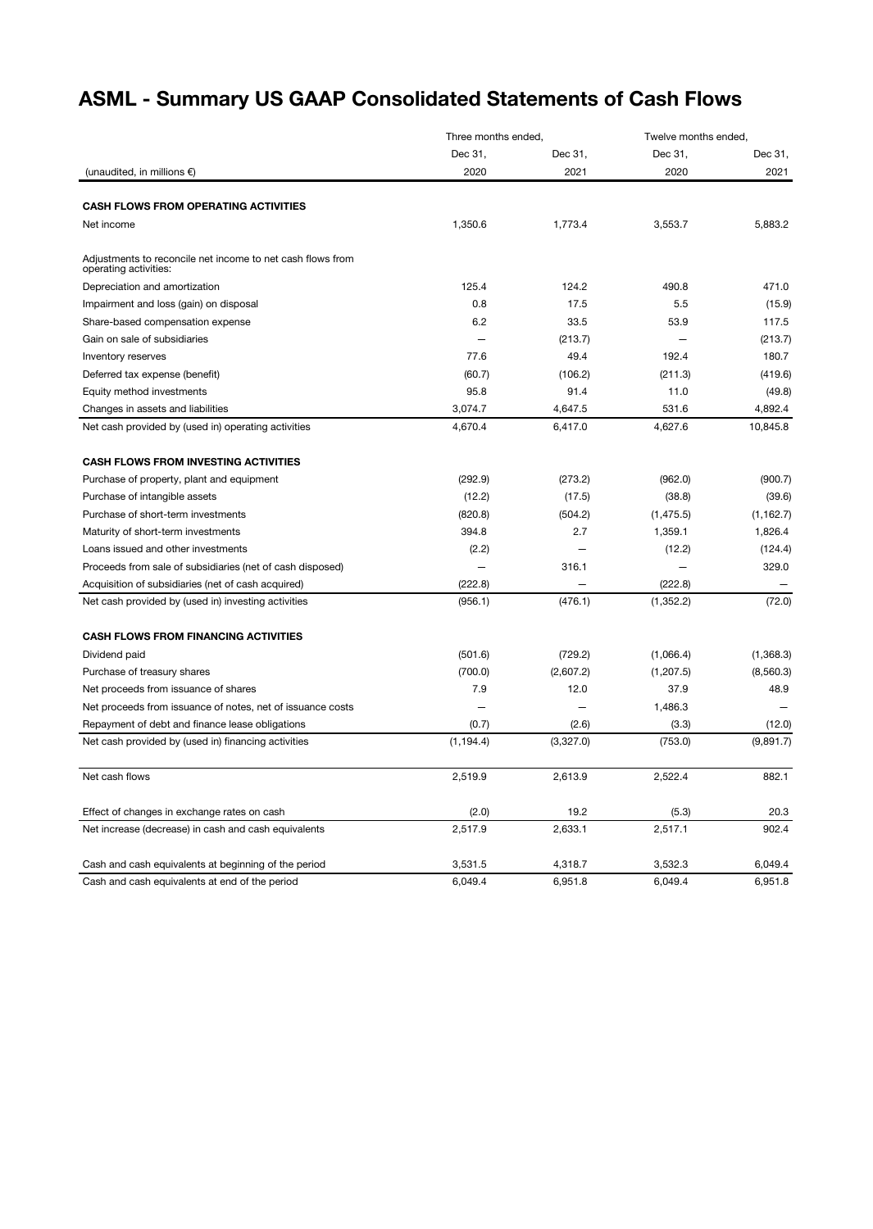## ASML - Summary US GAAP Consolidated Statements of Cash Flows

|                                                                                     | Three months ended, |           | Twelve months ended. |            |
|-------------------------------------------------------------------------------------|---------------------|-----------|----------------------|------------|
|                                                                                     | Dec 31,             | Dec 31,   | Dec 31,              | Dec 31,    |
| (unaudited, in millions $\epsilon$ )                                                | 2020                | 2021      | 2020                 | 2021       |
| <b>CASH FLOWS FROM OPERATING ACTIVITIES</b>                                         |                     |           |                      |            |
| Net income                                                                          |                     | 1,773.4   | 3,553.7              | 5,883.2    |
|                                                                                     | 1,350.6             |           |                      |            |
| Adjustments to reconcile net income to net cash flows from<br>operating activities: |                     |           |                      |            |
| Depreciation and amortization                                                       | 125.4               | 124.2     | 490.8                | 471.0      |
| Impairment and loss (gain) on disposal                                              | 0.8                 | 17.5      | 5.5                  | (15.9)     |
| Share-based compensation expense                                                    | 6.2                 | 33.5      | 53.9                 | 117.5      |
| Gain on sale of subsidiaries                                                        |                     | (213.7)   |                      | (213.7)    |
| Inventory reserves                                                                  | 77.6                | 49.4      | 192.4                | 180.7      |
| Deferred tax expense (benefit)                                                      | (60.7)              | (106.2)   | (211.3)              | (419.6)    |
| Equity method investments                                                           | 95.8                | 91.4      | 11.0                 | (49.8)     |
| Changes in assets and liabilities                                                   | 3,074.7             | 4,647.5   | 531.6                | 4,892.4    |
| Net cash provided by (used in) operating activities                                 | 4,670.4             | 6,417.0   | 4.627.6              | 10,845.8   |
| <b>CASH FLOWS FROM INVESTING ACTIVITIES</b>                                         |                     |           |                      |            |
| Purchase of property, plant and equipment                                           | (292.9)             | (273.2)   | (962.0)              | (900.7)    |
| Purchase of intangible assets                                                       | (12.2)              | (17.5)    | (38.8)               | (39.6)     |
| Purchase of short-term investments                                                  | (820.8)             | (504.2)   | (1, 475.5)           | (1, 162.7) |
| Maturity of short-term investments                                                  | 394.8               | 2.7       | 1,359.1              | 1,826.4    |
| Loans issued and other investments                                                  | (2.2)               |           | (12.2)               | (124.4)    |
| Proceeds from sale of subsidiaries (net of cash disposed)                           |                     | 316.1     |                      | 329.0      |
| Acquisition of subsidiaries (net of cash acquired)                                  | (222.8)             |           | (222.8)              |            |
| Net cash provided by (used in) investing activities                                 | (956.1)             | (476.1)   | (1, 352.2)           | (72.0)     |
|                                                                                     |                     |           |                      |            |
| <b>CASH FLOWS FROM FINANCING ACTIVITIES</b>                                         |                     |           |                      |            |
| Dividend paid                                                                       | (501.6)             | (729.2)   | (1,066.4)            | (1,368.3)  |
| Purchase of treasury shares                                                         | (700.0)             | (2,607.2) | (1,207.5)            | (8,560.3)  |
| Net proceeds from issuance of shares                                                | 7.9                 | 12.0      | 37.9                 | 48.9       |
| Net proceeds from issuance of notes, net of issuance costs                          |                     |           | 1,486.3              |            |
| Repayment of debt and finance lease obligations                                     | (0.7)               | (2.6)     | (3.3)                | (12.0)     |
| Net cash provided by (used in) financing activities                                 | (1, 194.4)          | (3,327.0) | (753.0)              | (9,891.7)  |
| Net cash flows                                                                      | 2.519.9             | 2.613.9   | 2,522.4              | 882.1      |
| Effect of changes in exchange rates on cash                                         | (2.0)               | 19.2      | (5.3)                | 20.3       |
| Net increase (decrease) in cash and cash equivalents                                | 2,517.9             | 2,633.1   | 2,517.1              | 902.4      |
| Cash and cash equivalents at beginning of the period                                | 3,531.5             | 4,318.7   | 3,532.3              | 6,049.4    |
| Cash and cash equivalents at end of the period                                      | 6,049.4             | 6,951.8   | 6,049.4              | 6,951.8    |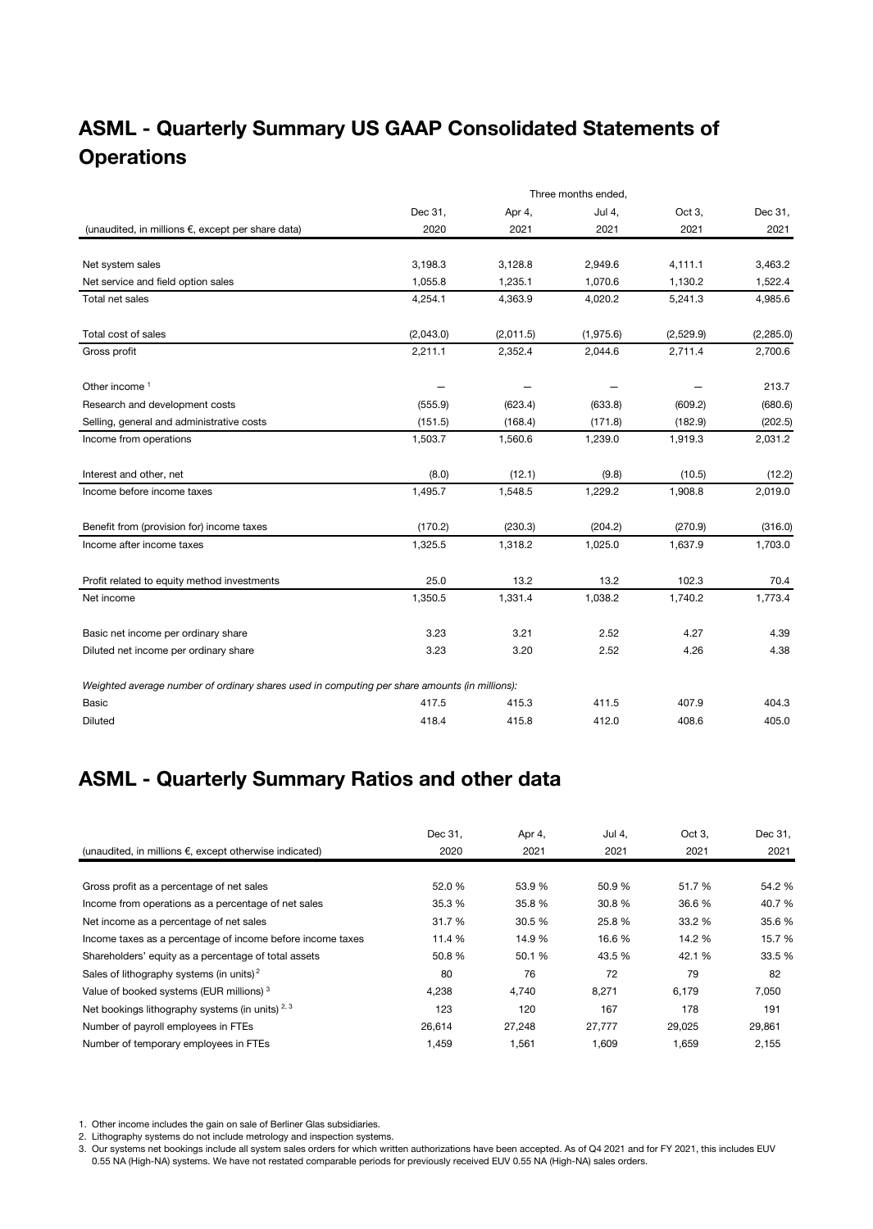## ASML - Quarterly Summary US GAAP Consolidated Statements of **Operations**

|                                                                                               | Three months ended, |           |           |           |            |  |
|-----------------------------------------------------------------------------------------------|---------------------|-----------|-----------|-----------|------------|--|
|                                                                                               | Dec 31,             | Apr 4,    | Jul 4,    | Oct 3,    | Dec 31,    |  |
| (unaudited, in millions €, except per share data)                                             | 2020                | 2021      | 2021      | 2021      | 2021       |  |
|                                                                                               |                     |           |           |           |            |  |
| Net system sales                                                                              | 3,198.3             | 3,128.8   | 2,949.6   | 4,111.1   | 3,463.2    |  |
| Net service and field option sales                                                            | 1,055.8             | 1,235.1   | 1,070.6   | 1,130.2   | 1,522.4    |  |
| Total net sales                                                                               | 4,254.1             | 4,363.9   | 4,020.2   | 5,241.3   | 4,985.6    |  |
| Total cost of sales                                                                           | (2,043.0)           | (2,011.5) | (1,975.6) | (2,529.9) | (2, 285.0) |  |
| Gross profit                                                                                  | 2,211.1             | 2,352.4   | 2,044.6   | 2,711.4   | 2,700.6    |  |
| Other income <sup>1</sup>                                                                     |                     |           |           |           | 213.7      |  |
| Research and development costs                                                                | (555.9)             | (623.4)   | (633.8)   | (609.2)   | (680.6)    |  |
| Selling, general and administrative costs                                                     | (151.5)             | (168.4)   | (171.8)   | (182.9)   | (202.5)    |  |
| Income from operations                                                                        | 1,503.7             | 1,560.6   | 1,239.0   | 1,919.3   | 2,031.2    |  |
| Interest and other, net                                                                       | (8.0)               | (12.1)    | (9.8)     | (10.5)    | (12.2)     |  |
| Income before income taxes                                                                    | 1,495.7             | 1,548.5   | 1,229.2   | 1,908.8   | 2,019.0    |  |
| Benefit from (provision for) income taxes                                                     | (170.2)             | (230.3)   | (204.2)   | (270.9)   | (316.0)    |  |
| Income after income taxes                                                                     | 1,325.5             | 1,318.2   | 1,025.0   | 1,637.9   | 1,703.0    |  |
| Profit related to equity method investments                                                   | 25.0                | 13.2      | 13.2      | 102.3     | 70.4       |  |
| Net income                                                                                    | 1,350.5             | 1,331.4   | 1,038.2   | 1,740.2   | 1,773.4    |  |
| Basic net income per ordinary share                                                           | 3.23                | 3.21      | 2.52      | 4.27      | 4.39       |  |
| Diluted net income per ordinary share                                                         | 3.23                | 3.20      | 2.52      | 4.26      | 4.38       |  |
| Weighted average number of ordinary shares used in computing per share amounts (in millions): |                     |           |           |           |            |  |
| <b>Basic</b>                                                                                  | 417.5               | 415.3     | 411.5     | 407.9     | 404.3      |  |
| <b>Diluted</b>                                                                                | 418.4               | 415.8     | 412.0     | 408.6     | 405.0      |  |

## ASML - Quarterly Summary Ratios and other data

|                                                                  | Dec 31. | Apr 4, | Jul 4, | Oct 3. | Dec 31, |
|------------------------------------------------------------------|---------|--------|--------|--------|---------|
| (unaudited, in millions $\epsilon$ , except otherwise indicated) | 2020    | 2021   | 2021   | 2021   | 2021    |
|                                                                  |         |        |        |        |         |
| Gross profit as a percentage of net sales                        | 52.0 %  | 53.9 % | 50.9%  | 51.7%  | 54.2 %  |
| Income from operations as a percentage of net sales              | 35.3 %  | 35.8%  | 30.8 % | 36.6 % | 40.7 %  |
| Net income as a percentage of net sales                          | 31.7 %  | 30.5 % | 25.8 % | 33.2 % | 35.6 %  |
| Income taxes as a percentage of income before income taxes       | 11.4 %  | 14.9%  | 16.6 % | 14.2 % | 15.7 %  |
| Shareholders' equity as a percentage of total assets             | 50.8%   | 50.1 % | 43.5 % | 42.1 % | 33.5 %  |
| Sales of lithography systems (in units) <sup>2</sup>             | 80      | 76     | 72     | 79     | 82      |
| Value of booked systems (EUR millions) <sup>3</sup>              | 4,238   | 4.740  | 8,271  | 6,179  | 7,050   |
| Net bookings lithography systems (in units) $2,3$                | 123     | 120    | 167    | 178    | 191     |
| Number of payroll employees in FTEs                              | 26,614  | 27.248 | 27,777 | 29,025 | 29,861  |
| Number of temporary employees in FTEs                            | 1,459   | 1,561  | 1,609  | 1,659  | 2,155   |

1. Other income includes the gain on sale of Berliner Glas subsidiaries.

2. Lithography systems do not include metrology and inspection systems.

3. Our systems net bookings include all system sales orders for which written authorizations have been accepted. As of Q4 2021 and for FY 2021, this includes EUV 0.55 NA (High-NA) systems. We have not restated comparable periods for previously received EUV 0.55 NA (High-NA) sales orders.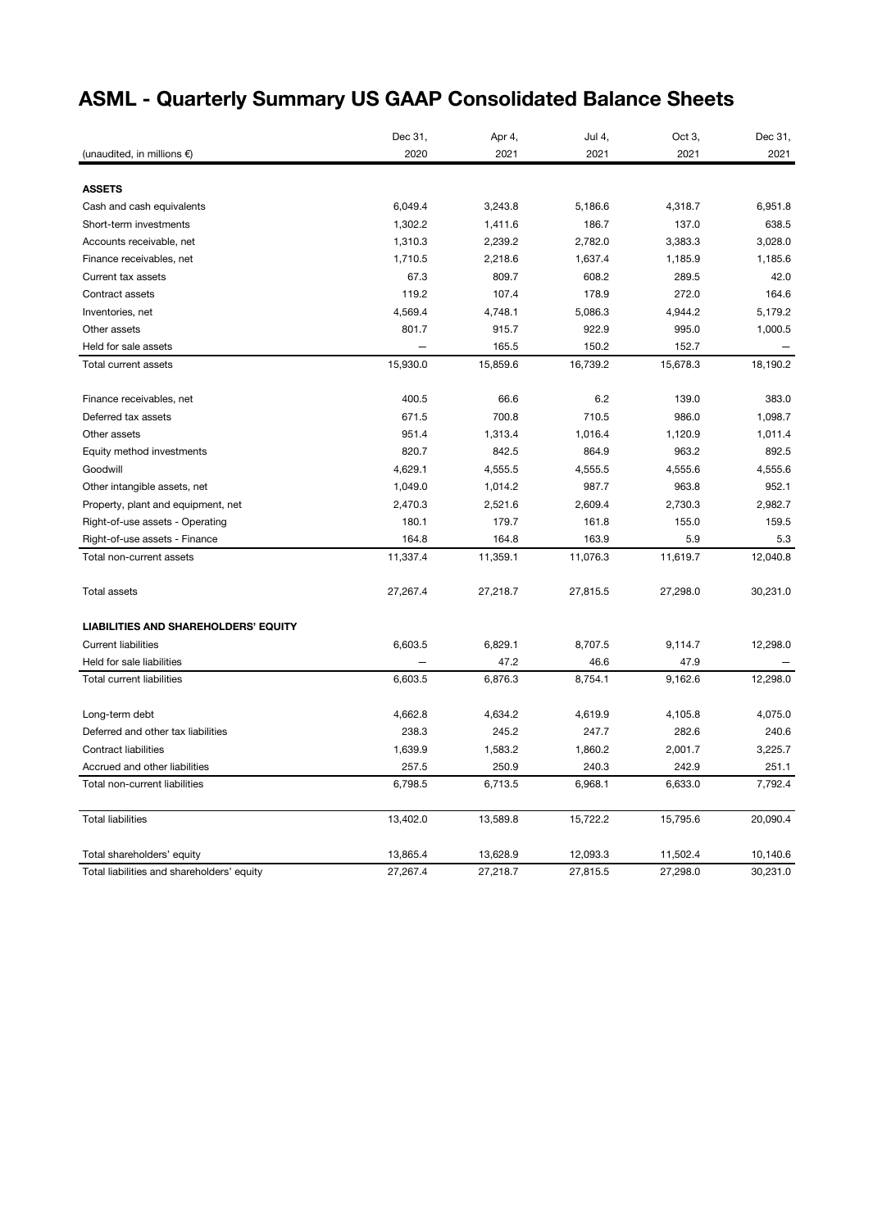# ASML - Quarterly Summary US GAAP Consolidated Balance Sheets

|                                             | Dec 31,  | Apr 4,   | Jul 4,   | Oct 3,   | Dec 31,  |
|---------------------------------------------|----------|----------|----------|----------|----------|
| (unaudited, in millions $\epsilon$ )        | 2020     | 2021     | 2021     | 2021     | 2021     |
|                                             |          |          |          |          |          |
| <b>ASSETS</b>                               |          |          |          |          |          |
| Cash and cash equivalents                   | 6,049.4  | 3,243.8  | 5,186.6  | 4,318.7  | 6,951.8  |
| Short-term investments                      | 1,302.2  | 1,411.6  | 186.7    | 137.0    | 638.5    |
| Accounts receivable, net                    | 1,310.3  | 2,239.2  | 2,782.0  | 3,383.3  | 3,028.0  |
| Finance receivables, net                    | 1,710.5  | 2,218.6  | 1,637.4  | 1,185.9  | 1,185.6  |
| Current tax assets                          | 67.3     | 809.7    | 608.2    | 289.5    | 42.0     |
| Contract assets                             | 119.2    | 107.4    | 178.9    | 272.0    | 164.6    |
| Inventories, net                            | 4,569.4  | 4,748.1  | 5,086.3  | 4,944.2  | 5,179.2  |
| Other assets                                | 801.7    | 915.7    | 922.9    | 995.0    | 1,000.5  |
| Held for sale assets                        |          | 165.5    | 150.2    | 152.7    |          |
| Total current assets                        | 15,930.0 | 15,859.6 | 16,739.2 | 15,678.3 | 18,190.2 |
| Finance receivables, net                    | 400.5    | 66.6     | $6.2\,$  | 139.0    | 383.0    |
| Deferred tax assets                         | 671.5    | 700.8    | 710.5    | 986.0    | 1,098.7  |
| Other assets                                | 951.4    | 1,313.4  | 1,016.4  | 1,120.9  | 1,011.4  |
| Equity method investments                   | 820.7    | 842.5    | 864.9    | 963.2    | 892.5    |
| Goodwill                                    | 4,629.1  | 4,555.5  | 4,555.5  | 4,555.6  | 4,555.6  |
| Other intangible assets, net                | 1,049.0  | 1,014.2  | 987.7    | 963.8    | 952.1    |
| Property, plant and equipment, net          | 2,470.3  | 2,521.6  | 2,609.4  | 2,730.3  | 2,982.7  |
| Right-of-use assets - Operating             | 180.1    | 179.7    | 161.8    | 155.0    | 159.5    |
| Right-of-use assets - Finance               | 164.8    | 164.8    | 163.9    | 5.9      | 5.3      |
| Total non-current assets                    | 11,337.4 | 11,359.1 | 11,076.3 | 11,619.7 | 12,040.8 |
| <b>Total assets</b>                         | 27,267.4 | 27,218.7 | 27,815.5 | 27,298.0 | 30,231.0 |
| <b>LIABILITIES AND SHAREHOLDERS' EQUITY</b> |          |          |          |          |          |
| <b>Current liabilities</b>                  | 6,603.5  | 6,829.1  | 8,707.5  | 9,114.7  | 12,298.0 |
| Held for sale liabilities                   |          | 47.2     | 46.6     | 47.9     |          |
| <b>Total current liabilities</b>            | 6,603.5  | 6,876.3  | 8,754.1  | 9,162.6  | 12,298.0 |
| Long-term debt                              | 4,662.8  | 4,634.2  | 4,619.9  | 4,105.8  | 4,075.0  |
| Deferred and other tax liabilities          | 238.3    | 245.2    | 247.7    | 282.6    | 240.6    |
| <b>Contract liabilities</b>                 | 1,639.9  | 1,583.2  | 1,860.2  | 2,001.7  | 3,225.7  |
| Accrued and other liabilities               | 257.5    | 250.9    | 240.3    | 242.9    | 251.1    |
| Total non-current liabilities               | 6,798.5  | 6,713.5  | 6,968.1  | 6,633.0  | 7,792.4  |
| <b>Total liabilities</b>                    | 13,402.0 | 13,589.8 | 15,722.2 | 15,795.6 | 20,090.4 |
| Total shareholders' equity                  | 13,865.4 | 13,628.9 | 12,093.3 | 11,502.4 | 10,140.6 |
| Total liabilities and shareholders' equity  | 27,267.4 | 27,218.7 | 27,815.5 | 27,298.0 | 30,231.0 |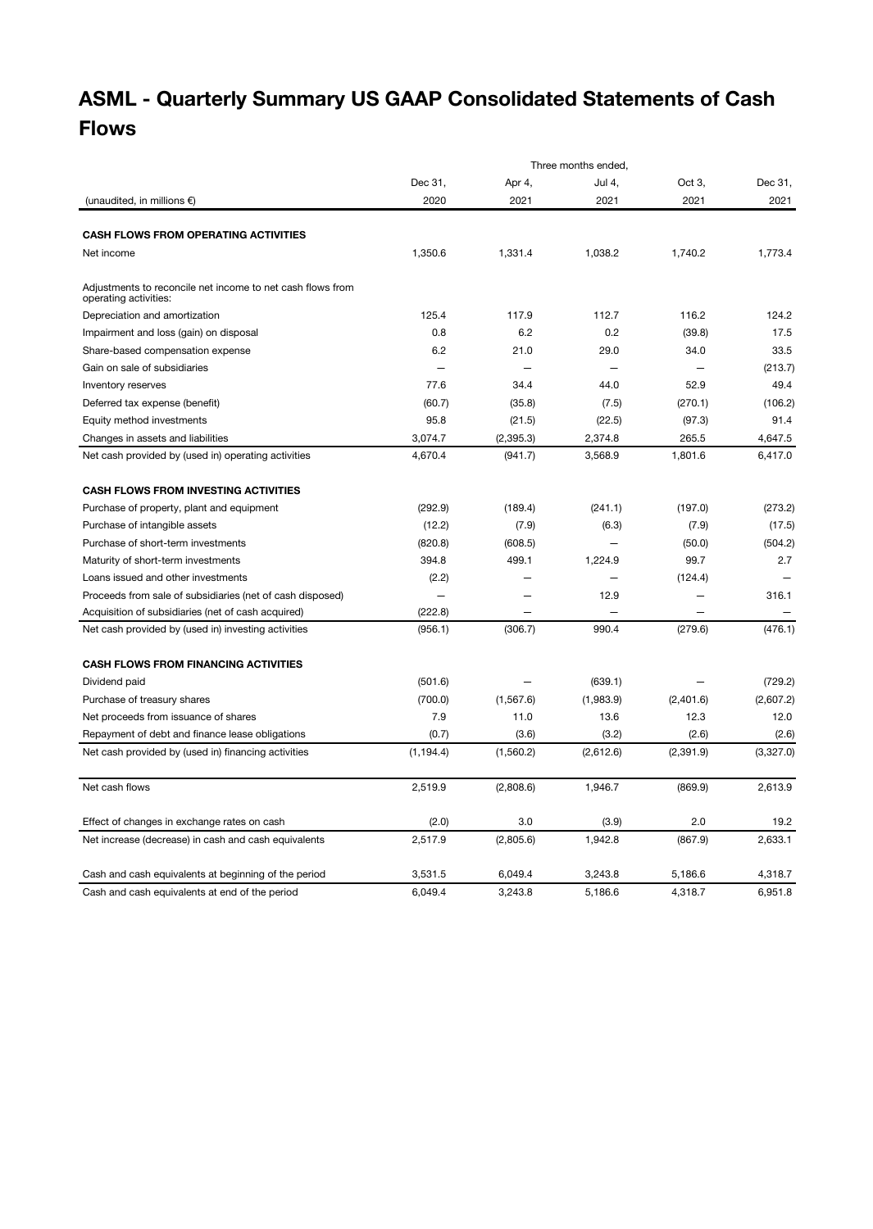# ASML - Quarterly Summary US GAAP Consolidated Statements of Cash Flows

|                                                                                     |                          |            | Three months ended,      |           |           |
|-------------------------------------------------------------------------------------|--------------------------|------------|--------------------------|-----------|-----------|
|                                                                                     | Dec 31,                  | Apr 4,     | Jul 4.                   | Oct 3.    | Dec 31,   |
| (unaudited, in millions $\epsilon$ )                                                | 2020                     | 2021       | 2021                     | 2021      | 2021      |
|                                                                                     |                          |            |                          |           |           |
| <b>CASH FLOWS FROM OPERATING ACTIVITIES</b>                                         |                          |            |                          |           |           |
| Net income                                                                          | 1,350.6                  | 1,331.4    | 1,038.2                  | 1,740.2   | 1,773.4   |
| Adiustments to reconcile net income to net cash flows from<br>operating activities: |                          |            |                          |           |           |
| Depreciation and amortization                                                       | 125.4                    | 117.9      | 112.7                    | 116.2     | 124.2     |
| Impairment and loss (gain) on disposal                                              | 0.8                      | 6.2        | 0.2                      | (39.8)    | 17.5      |
| Share-based compensation expense                                                    | 6.2                      | 21.0       | 29.0                     | 34.0      | 33.5      |
| Gain on sale of subsidiaries                                                        |                          |            | $\overline{\phantom{0}}$ |           | (213.7)   |
| Inventory reserves                                                                  | 77.6                     | 34.4       | 44.0                     | 52.9      | 49.4      |
| Deferred tax expense (benefit)                                                      | (60.7)                   | (35.8)     | (7.5)                    | (270.1)   | (106.2)   |
| Equity method investments                                                           | 95.8                     | (21.5)     | (22.5)                   | (97.3)    | 91.4      |
| Changes in assets and liabilities                                                   | 3,074.7                  | (2, 395.3) | 2,374.8                  | 265.5     | 4,647.5   |
| Net cash provided by (used in) operating activities                                 | 4,670.4                  | (941.7)    | 3,568.9                  | 1,801.6   | 6,417.0   |
|                                                                                     |                          |            |                          |           |           |
| <b>CASH FLOWS FROM INVESTING ACTIVITIES</b>                                         |                          |            |                          |           |           |
| Purchase of property, plant and equipment                                           | (292.9)                  | (189.4)    | (241.1)                  | (197.0)   | (273.2)   |
| Purchase of intangible assets                                                       | (12.2)                   | (7.9)      | (6.3)                    | (7.9)     | (17.5)    |
| Purchase of short-term investments                                                  | (820.8)                  | (608.5)    | $\overline{\phantom{0}}$ | (50.0)    | (504.2)   |
| Maturity of short-term investments                                                  | 394.8                    | 499.1      | 1,224.9                  | 99.7      | 2.7       |
| Loans issued and other investments                                                  | (2.2)                    |            |                          | (124.4)   |           |
| Proceeds from sale of subsidiaries (net of cash disposed)                           | $\overline{\phantom{0}}$ |            | 12.9                     |           | 316.1     |
| Acquisition of subsidiaries (net of cash acquired)                                  | (222.8)                  |            |                          |           |           |
| Net cash provided by (used in) investing activities                                 | (956.1)                  | (306.7)    | 990.4                    | (279.6)   | (476.1)   |
| <b>CASH FLOWS FROM FINANCING ACTIVITIES</b>                                         |                          |            |                          |           |           |
| Dividend paid                                                                       | (501.6)                  |            | (639.1)                  |           | (729.2)   |
| Purchase of treasury shares                                                         | (700.0)                  | (1, 567.6) | (1,983.9)                | (2,401.6) | (2,607.2) |
| Net proceeds from issuance of shares                                                | 7.9                      | 11.0       | 13.6                     | 12.3      | 12.0      |
| Repayment of debt and finance lease obligations                                     | (0.7)                    | (3.6)      | (3.2)                    | (2.6)     | (2.6)     |
| Net cash provided by (used in) financing activities                                 | (1, 194.4)               | (1,560.2)  | (2,612.6)                | (2,391.9) | (3,327.0) |
|                                                                                     |                          |            |                          |           |           |
| Net cash flows                                                                      | 2,519.9                  | (2,808.6)  | 1,946.7                  | (869.9)   | 2,613.9   |
| Effect of changes in exchange rates on cash                                         | (2.0)                    | 3.0        | (3.9)                    | 2.0       | 19.2      |
| Net increase (decrease) in cash and cash equivalents                                | 2,517.9                  | (2,805.6)  | 1,942.8                  | (867.9)   | 2,633.1   |
| Cash and cash equivalents at beginning of the period                                | 3,531.5                  | 6,049.4    | 3,243.8                  | 5,186.6   | 4,318.7   |
| Cash and cash equivalents at end of the period                                      | 6,049.4                  | 3,243.8    | 5,186.6                  | 4,318.7   | 6,951.8   |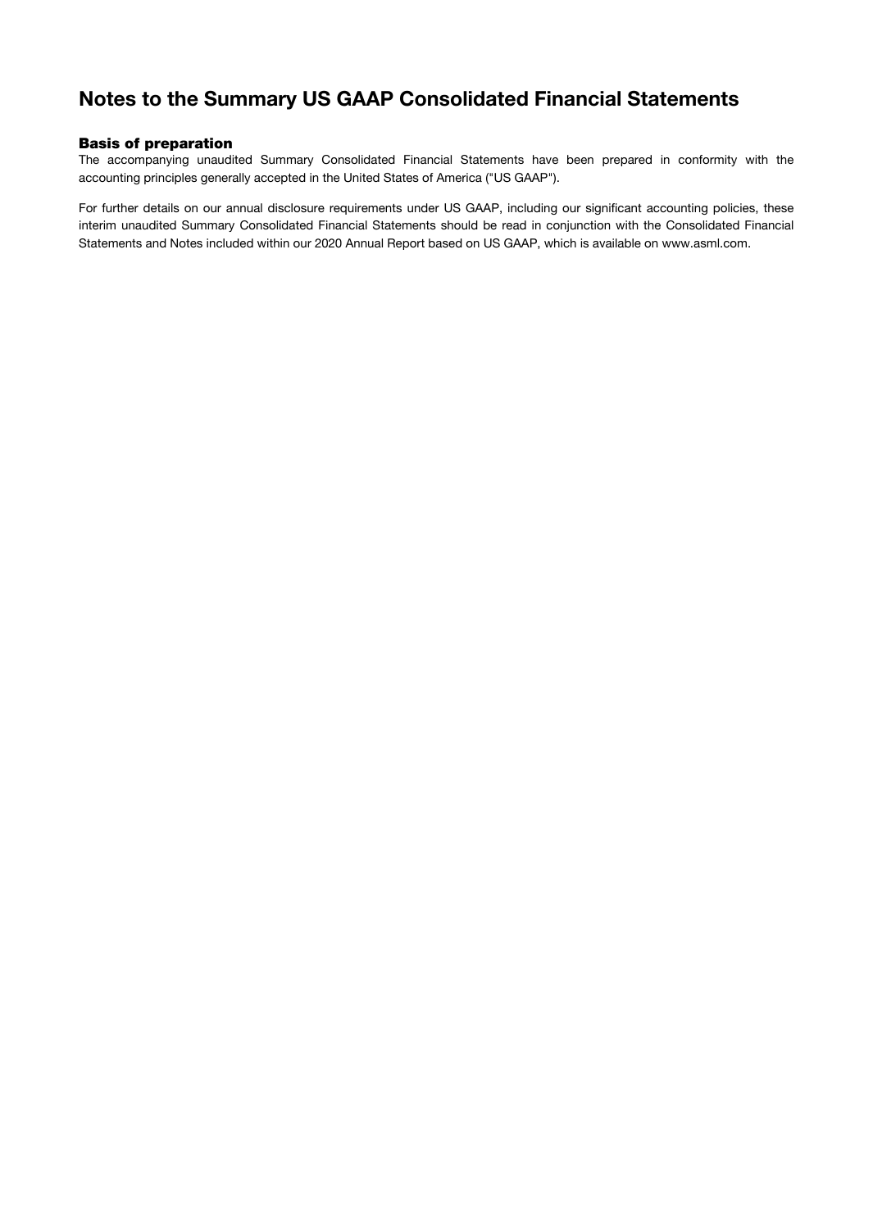### Notes to the Summary US GAAP Consolidated Financial Statements

#### Basis of preparation

The accompanying unaudited Summary Consolidated Financial Statements have been prepared in conformity with the accounting principles generally accepted in the United States of America ("US GAAP").

For further details on our annual disclosure requirements under US GAAP, including our significant accounting policies, these interim unaudited Summary Consolidated Financial Statements should be read in conjunction with the Consolidated Financial Statements and Notes included within our 2020 Annual Report based on US GAAP, which is available on www.asml.com.